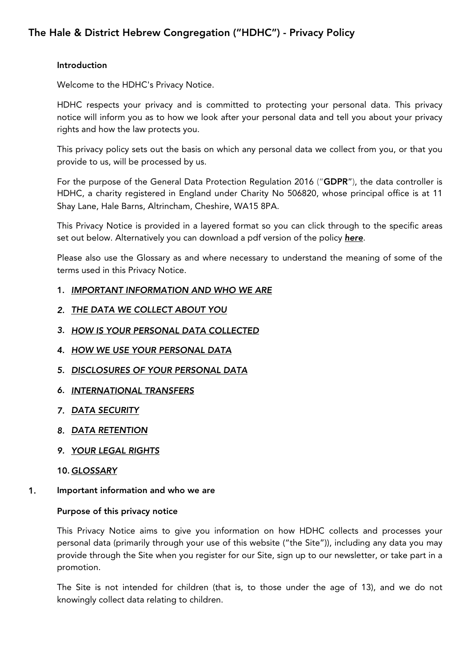## Introduction

Welcome to the HDHC's Privacy Notice.

HDHC respects your privacy and is committed to protecting your personal data. This privacy notice will inform you as to how we look after your personal data and tell you about your privacy rights and how the law protects you.

This privacy policy sets out the basis on which any personal data we collect from you, or that you provide to us, will be processed by us.

For the purpose of the General Data Protection Regulation 2016 ("GDPR"), the data controller is HDHC, a charity registered in England under Charity No 506820, whose principal office is at 11 Shay Lane, Hale Barns, Altrincham, Cheshire, WA15 8PA.

This Privacy Notice is provided in a layered format so you can click through to the specific areas set out below. Alternatively you can download a pdf version of the policy *here*.

Please also use the Glossary as and where necessary to understand the meaning of some of the terms used in this Privacy Notice.

## 1. *IMPORTANT INFORMATION AND WHO WE ARE*

- *2. THE DATA WE COLLECT ABOUT YOU*
- *3. HOW IS YOUR PERSONAL DATA COLLECTED*
- *4. HOW WE USE YOUR PERSONAL DATA*
- *5. DISCLOSURES OF YOUR PERSONAL DATA*
- *6. INTERNATIONAL TRANSFERS*
- *7. DATA SECURITY*
- *8. DATA RETENTION*
- *9. YOUR LEGAL RIGHTS*
- 10. *GLOSSARY*
- 1. Important information and who we are

#### Purpose of this privacy notice

This Privacy Notice aims to give you information on how HDHC collects and processes your personal data (primarily through your use of this website ("the Site")), including any data you may provide through the Site when you register for our Site, sign up to our newsletter, or take part in a promotion.

The Site is not intended for children (that is, to those under the age of 13), and we do not knowingly collect data relating to children.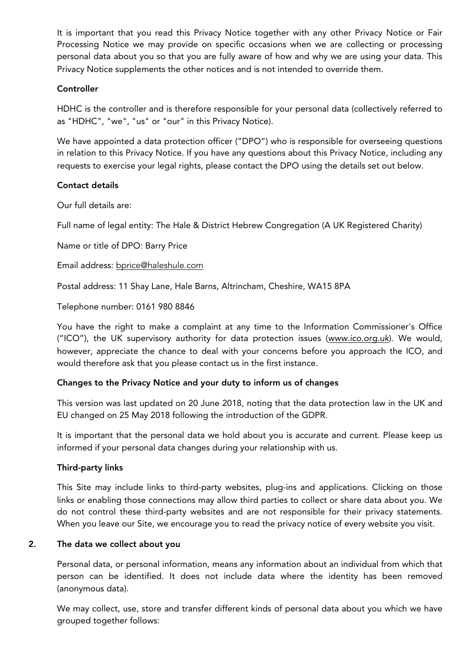It is important that you read this Privacy Notice together with any other Privacy Notice or Fair Processing Notice we may provide on specific occasions when we are collecting or processing personal data about you so that you are fully aware of how and why we are using your data. This Privacy Notice supplements the other notices and is not intended to override them.

## **Controller**

HDHC is the controller and is therefore responsible for your personal data (collectively referred to as "HDHC", "we", "us" or "our" in this Privacy Notice).

We have appointed a data protection officer ("DPO") who is responsible for overseeing questions in relation to this Privacy Notice. If you have any questions about this Privacy Notice, including any requests to exercise your legal rights, please contact the DPO using the details set out below.

## Contact details

Our full details are:

Full name of legal entity: The Hale & District Hebrew Congregation (A UK Registered Charity)

Name or title of DPO: Barry Price

Email address: [bprice@haleshule.com](mailto:bprice@haleshule.com)

Postal address: 11 Shay Lane, Hale Barns, Altrincham, Cheshire, WA15 8PA

Telephone number: 0161 980 8846

You have the right to make a complaint at any time to the Information Commissioner's Office ("ICO"), the UK supervisory authority for data protection issues (*[www.ico.org.uk](http://www.ico.org.uk)*). We would, however, appreciate the chance to deal with your concerns before you approach the ICO, and would therefore ask that you please contact us in the first instance.

## Changes to the Privacy Notice and your duty to inform us of changes

This version was last updated on 20 June 2018, noting that the data protection law in the UK and EU changed on 25 May 2018 following the introduction of the GDPR.

It is important that the personal data we hold about you is accurate and current. Please keep us informed if your personal data changes during your relationship with us.

## Third-party links

This Site may include links to third-party websites, plug-ins and applications. Clicking on those links or enabling those connections may allow third parties to collect or share data about you. We do not control these third-party websites and are not responsible for their privacy statements. When you leave our Site, we encourage you to read the privacy notice of every website you visit.

## 2. The data we collect about you

Personal data, or personal information, means any information about an individual from which that person can be identified. It does not include data where the identity has been removed (anonymous data).

We may collect, use, store and transfer different kinds of personal data about you which we have grouped together follows: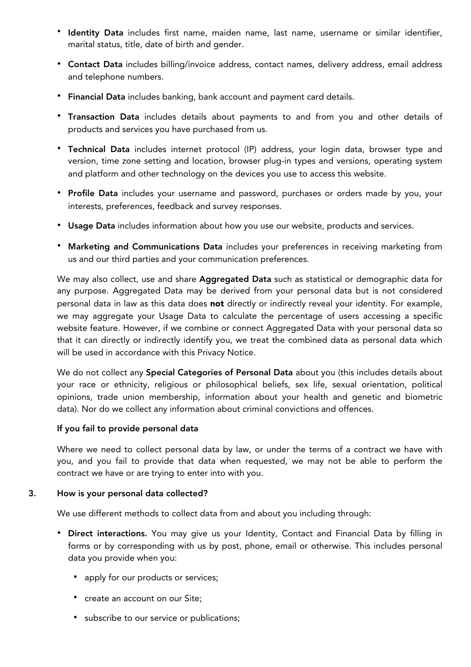- Identity Data includes first name, maiden name, last name, username or similar identifier, marital status, title, date of birth and gender.
- Contact Data includes billing/invoice address, contact names, delivery address, email address and telephone numbers.
- Financial Data includes banking, bank account and payment card details.
- Transaction Data includes details about payments to and from you and other details of products and services you have purchased from us.
- Technical Data includes internet protocol (IP) address, your login data, browser type and version, time zone setting and location, browser plug-in types and versions, operating system and platform and other technology on the devices you use to access this website.
- Profile Data includes your username and password, purchases or orders made by you, your interests, preferences, feedback and survey responses.
- Usage Data includes information about how you use our website, products and services.
- Marketing and Communications Data includes your preferences in receiving marketing from us and our third parties and your communication preferences.

We may also collect, use and share Aggregated Data such as statistical or demographic data for any purpose. Aggregated Data may be derived from your personal data but is not considered personal data in law as this data does not directly or indirectly reveal your identity. For example, we may aggregate your Usage Data to calculate the percentage of users accessing a specific website feature. However, if we combine or connect Aggregated Data with your personal data so that it can directly or indirectly identify you, we treat the combined data as personal data which will be used in accordance with this Privacy Notice.

We do not collect any Special Categories of Personal Data about you (this includes details about your race or ethnicity, religious or philosophical beliefs, sex life, sexual orientation, political opinions, trade union membership, information about your health and genetic and biometric data). Nor do we collect any information about criminal convictions and offences.

#### If you fail to provide personal data

Where we need to collect personal data by law, or under the terms of a contract we have with you, and you fail to provide that data when requested, we may not be able to perform the contract we have or are trying to enter into with you.

#### 3. How is your personal data collected?

We use different methods to collect data from and about you including through:

- Direct interactions. You may give us your Identity, Contact and Financial Data by filling in forms or by corresponding with us by post, phone, email or otherwise. This includes personal data you provide when you:
	- apply for our products or services;
	- create an account on our Site;
	- subscribe to our service or publications;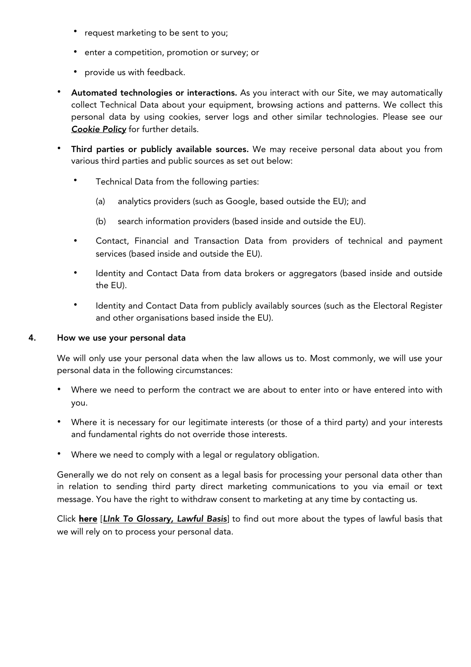- request marketing to be sent to you;
- enter a competition, promotion or survey; or
- provide us with feedback.
- Automated technologies or interactions. As you interact with our Site, we may automatically collect Technical Data about your equipment, browsing actions and patterns. We collect this personal data by using cookies, server logs and other similar technologies. Please see our *Cookie Policy* for further details.
- Third parties or publicly available sources. We may receive personal data about you from various third parties and public sources as set out below:
	- Technical Data from the following parties:
		- (a) analytics providers (such as Google, based outside the EU); and
		- (b) search information providers (based inside and outside the EU).
	- Contact, Financial and Transaction Data from providers of technical and payment services (based inside and outside the EU).
	- Identity and Contact Data from data brokers or aggregators (based inside and outside the EU).
	- Identity and Contact Data from publicly availably sources (such as the Electoral Register and other organisations based inside the EU).

#### 4. How we use your personal data

We will only use your personal data when the law allows us to. Most commonly, we will use your personal data in the following circumstances:

- Where we need to perform the contract we are about to enter into or have entered into with you.
- Where it is necessary for our legitimate interests (or those of a third party) and your interests and fundamental rights do not override those interests.
- Where we need to comply with a legal or regulatory obligation.

Generally we do not rely on consent as a legal basis for processing your personal data other than in relation to sending third party direct marketing communications to you via email or text message. You have the right to withdraw consent to marketing at any time by contacting us.

Click here [*LInk To Glossary, Lawful Basis*] to find out more about the types of lawful basis that we will rely on to process your personal data.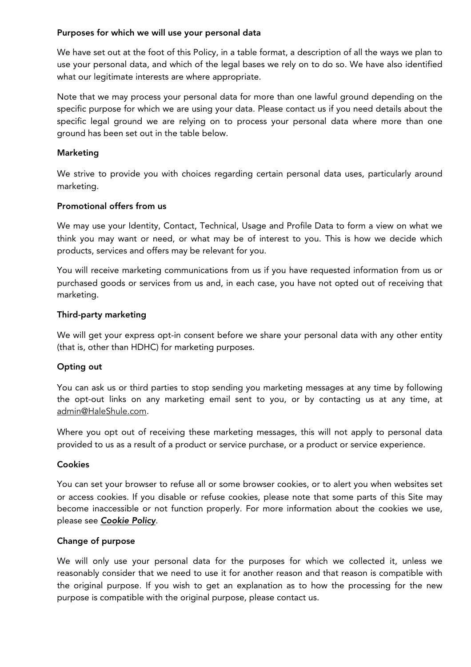## Purposes for which we will use your personal data

We have set out at the foot of this Policy, in a table format, a description of all the ways we plan to use your personal data, and which of the legal bases we rely on to do so. We have also identified what our legitimate interests are where appropriate.

Note that we may process your personal data for more than one lawful ground depending on the specific purpose for which we are using your data. Please contact us if you need details about the specific legal ground we are relying on to process your personal data where more than one ground has been set out in the table below.

## Marketing

We strive to provide you with choices regarding certain personal data uses, particularly around marketing.

## Promotional offers from us

We may use your Identity, Contact, Technical, Usage and Profile Data to form a view on what we think you may want or need, or what may be of interest to you. This is how we decide which products, services and offers may be relevant for you.

You will receive marketing communications from us if you have requested information from us or purchased goods or services from us and, in each case, you have not opted out of receiving that marketing.

#### Third-party marketing

We will get your express opt-in consent before we share your personal data with any other entity (that is, other than HDHC) for marketing purposes.

## Opting out

You can ask us or third parties to stop sending you marketing messages at any time by following the opt-out links on any marketing email sent to you, or by contacting us at any time, at [admin@HaleShule.com](mailto:admin@HaleShule.com).

Where you opt out of receiving these marketing messages, this will not apply to personal data provided to us as a result of a product or service purchase, or a product or service experience.

#### Cookies

You can set your browser to refuse all or some browser cookies, or to alert you when websites set or access cookies. If you disable or refuse cookies, please note that some parts of this Site may become inaccessible or not function properly. For more information about the cookies we use, please see *Cookie Policy*.

#### Change of purpose

We will only use your personal data for the purposes for which we collected it, unless we reasonably consider that we need to use it for another reason and that reason is compatible with the original purpose. If you wish to get an explanation as to how the processing for the new purpose is compatible with the original purpose, please contact us.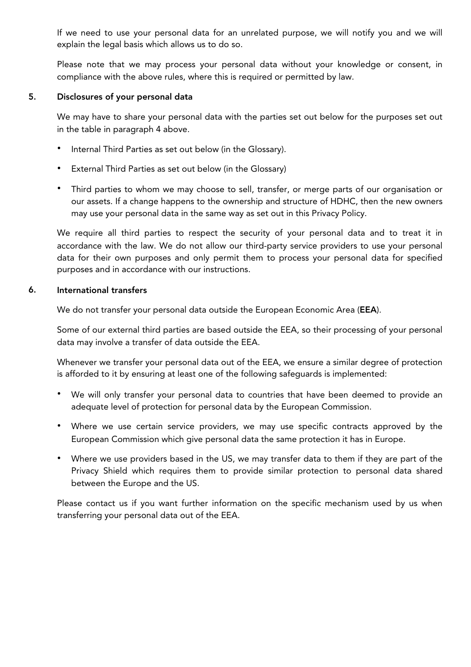If we need to use your personal data for an unrelated purpose, we will notify you and we will explain the legal basis which allows us to do so.

Please note that we may process your personal data without your knowledge or consent, in compliance with the above rules, where this is required or permitted by law.

## 5. Disclosures of your personal data

We may have to share your personal data with the parties set out below for the purposes set out in the table in paragraph 4 above.

- Internal Third Parties as set out below (in the Glossary).
- External Third Parties as set out below (in the Glossary)
- Third parties to whom we may choose to sell, transfer, or merge parts of our organisation or our assets. If a change happens to the ownership and structure of HDHC, then the new owners may use your personal data in the same way as set out in this Privacy Policy.

We require all third parties to respect the security of your personal data and to treat it in accordance with the law. We do not allow our third-party service providers to use your personal data for their own purposes and only permit them to process your personal data for specified purposes and in accordance with our instructions.

## 6. International transfers

We do not transfer your personal data outside the European Economic Area (EEA).

Some of our external third parties are based outside the EEA, so their processing of your personal data may involve a transfer of data outside the EEA.

Whenever we transfer your personal data out of the EEA, we ensure a similar degree of protection is afforded to it by ensuring at least one of the following safeguards is implemented:

- We will only transfer your personal data to countries that have been deemed to provide an adequate level of protection for personal data by the European Commission.
- Where we use certain service providers, we may use specific contracts approved by the European Commission which give personal data the same protection it has in Europe.
- Where we use providers based in the US, we may transfer data to them if they are part of the Privacy Shield which requires them to provide similar protection to personal data shared between the Europe and the US.

Please contact us if you want further information on the specific mechanism used by us when transferring your personal data out of the EEA.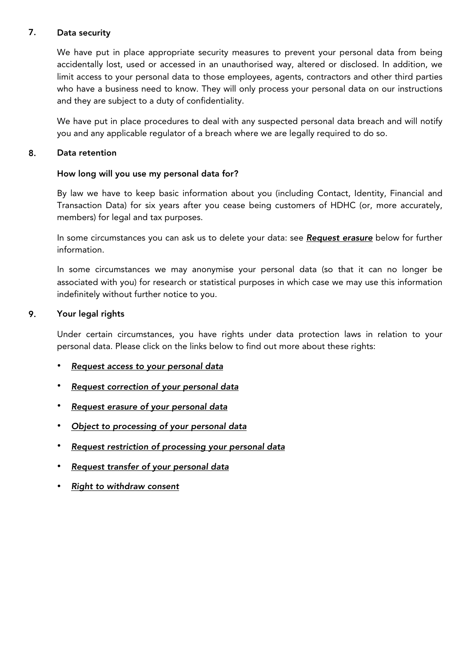## 7. Data security

We have put in place appropriate security measures to prevent your personal data from being accidentally lost, used or accessed in an unauthorised way, altered or disclosed. In addition, we limit access to your personal data to those employees, agents, contractors and other third parties who have a business need to know. They will only process your personal data on our instructions and they are subject to a duty of confidentiality.

We have put in place procedures to deal with any suspected personal data breach and will notify you and any applicable regulator of a breach where we are legally required to do so.

## 8. Data retention

## How long will you use my personal data for?

By law we have to keep basic information about you (including Contact, Identity, Financial and Transaction Data) for six years after you cease being customers of HDHC (or, more accurately, members) for legal and tax purposes.

In some circumstances you can ask us to delete your data: see *Request erasure* below for further information.

In some circumstances we may anonymise your personal data (so that it can no longer be associated with you) for research or statistical purposes in which case we may use this information indefinitely without further notice to you.

#### 9. Your legal rights

Under certain circumstances, you have rights under data protection laws in relation to your personal data. Please click on the links below to find out more about these rights:

- *Request access to your personal data*
- *Request correction of your personal data*
- *Request erasure of your personal data*
- *Object to processing of your personal data*
- *Request restriction of processing your personal data*
- *Request transfer of your personal data*
- *Right to withdraw consent*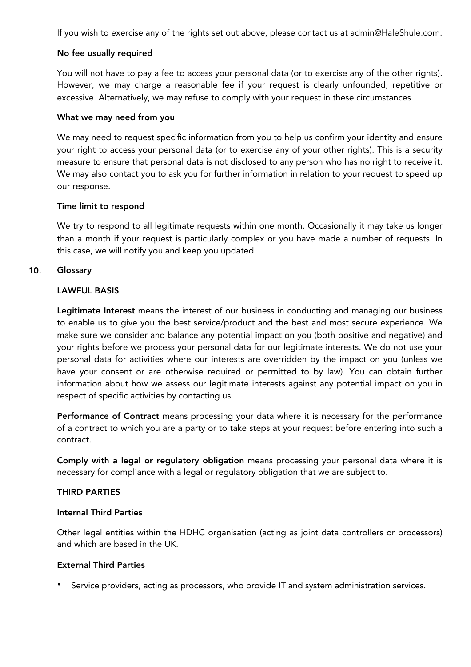If you wish to exercise any of the rights set out above, please contact us at [admin@HaleShule.com](mailto:admin@HaleShule.com).

## No fee usually required

You will not have to pay a fee to access your personal data (or to exercise any of the other rights). However, we may charge a reasonable fee if your request is clearly unfounded, repetitive or excessive. Alternatively, we may refuse to comply with your request in these circumstances.

#### What we may need from you

We may need to request specific information from you to help us confirm your identity and ensure your right to access your personal data (or to exercise any of your other rights). This is a security measure to ensure that personal data is not disclosed to any person who has no right to receive it. We may also contact you to ask you for further information in relation to your request to speed up our response.

#### Time limit to respond

We try to respond to all legitimate requests within one month. Occasionally it may take us longer than a month if your request is particularly complex or you have made a number of requests. In this case, we will notify you and keep you updated.

#### 10. Glossary

#### LAWFUL BASIS

Legitimate Interest means the interest of our business in conducting and managing our business to enable us to give you the best service/product and the best and most secure experience. We make sure we consider and balance any potential impact on you (both positive and negative) and your rights before we process your personal data for our legitimate interests. We do not use your personal data for activities where our interests are overridden by the impact on you (unless we have your consent or are otherwise required or permitted to by law). You can obtain further information about how we assess our legitimate interests against any potential impact on you in respect of specific activities by contacting us

Performance of Contract means processing your data where it is necessary for the performance of a contract to which you are a party or to take steps at your request before entering into such a contract.

Comply with a legal or regulatory obligation means processing your personal data where it is necessary for compliance with a legal or regulatory obligation that we are subject to.

#### THIRD PARTIES

#### Internal Third Parties

Other legal entities within the HDHC organisation (acting as joint data controllers or processors) and which are based in the UK.

#### External Third Parties

• Service providers, acting as processors, who provide IT and system administration services.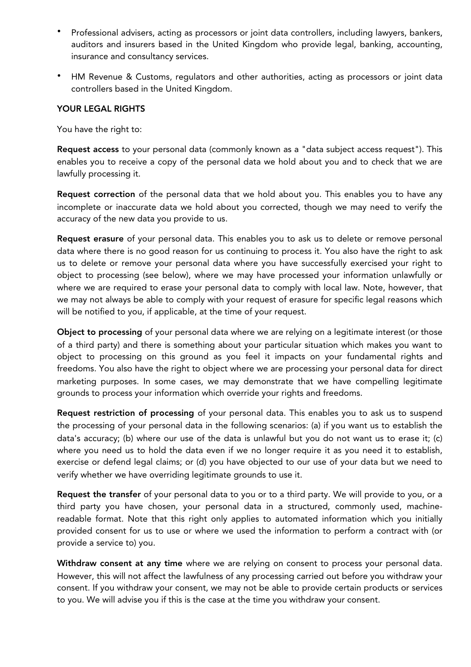- Professional advisers, acting as processors or joint data controllers, including lawyers, bankers, auditors and insurers based in the United Kingdom who provide legal, banking, accounting, insurance and consultancy services.
- HM Revenue & Customs, regulators and other authorities, acting as processors or joint data controllers based in the United Kingdom.

## YOUR LEGAL RIGHTS

You have the right to:

Request access to your personal data (commonly known as a "data subject access request"). This enables you to receive a copy of the personal data we hold about you and to check that we are lawfully processing it.

Request correction of the personal data that we hold about you. This enables you to have any incomplete or inaccurate data we hold about you corrected, though we may need to verify the accuracy of the new data you provide to us.

Request erasure of your personal data. This enables you to ask us to delete or remove personal data where there is no good reason for us continuing to process it. You also have the right to ask us to delete or remove your personal data where you have successfully exercised your right to object to processing (see below), where we may have processed your information unlawfully or where we are required to erase your personal data to comply with local law. Note, however, that we may not always be able to comply with your request of erasure for specific legal reasons which will be notified to you, if applicable, at the time of your request.

Object to processing of your personal data where we are relying on a legitimate interest (or those of a third party) and there is something about your particular situation which makes you want to object to processing on this ground as you feel it impacts on your fundamental rights and freedoms. You also have the right to object where we are processing your personal data for direct marketing purposes. In some cases, we may demonstrate that we have compelling legitimate grounds to process your information which override your rights and freedoms.

Request restriction of processing of your personal data. This enables you to ask us to suspend the processing of your personal data in the following scenarios: (a) if you want us to establish the data's accuracy; (b) where our use of the data is unlawful but you do not want us to erase it; (c) where you need us to hold the data even if we no longer require it as you need it to establish, exercise or defend legal claims; or (d) you have objected to our use of your data but we need to verify whether we have overriding legitimate grounds to use it.

Request the transfer of your personal data to you or to a third party. We will provide to you, or a third party you have chosen, your personal data in a structured, commonly used, machinereadable format. Note that this right only applies to automated information which you initially provided consent for us to use or where we used the information to perform a contract with (or provide a service to) you.

Withdraw consent at any time where we are relying on consent to process your personal data. However, this will not affect the lawfulness of any processing carried out before you withdraw your consent. If you withdraw your consent, we may not be able to provide certain products or services to you. We will advise you if this is the case at the time you withdraw your consent.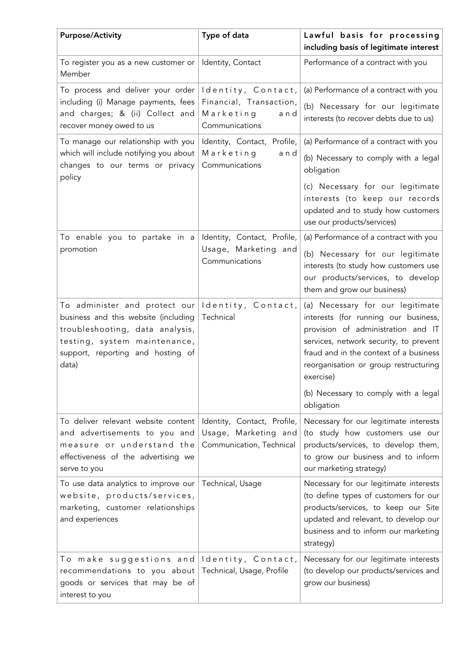| <b>Purpose/Activity</b>                                                                                                                                                                                     | Type of data                                                                        | Lawful basis for processing<br>including basis of legitimate interest                                                                                                                                                                                    |
|-------------------------------------------------------------------------------------------------------------------------------------------------------------------------------------------------------------|-------------------------------------------------------------------------------------|----------------------------------------------------------------------------------------------------------------------------------------------------------------------------------------------------------------------------------------------------------|
| To register you as a new customer or<br>Member                                                                                                                                                              | Identity, Contact                                                                   | Performance of a contract with you                                                                                                                                                                                                                       |
| To process and deliver your order<br>including (i) Manage payments, fees<br>and charges; & (ii) Collect and<br>recover money owed to us                                                                     | Identity, Contact,<br>Financial, Transaction,<br>Marketing<br>and<br>Communications | (a) Performance of a contract with you<br>(b) Necessary for our legitimate<br>interests (to recover debts due to us)                                                                                                                                     |
| To manage our relationship with you<br>which will include notifying you about<br>changes to our terms or privacy<br>policy                                                                                  | Identity, Contact, Profile,<br>Marketing<br>a n d<br>Communications                 | (a) Performance of a contract with you<br>(b) Necessary to comply with a legal<br>obligation<br>(c) Necessary for our legitimate<br>interests (to keep our records<br>updated and to study how customers<br>use our products/services)                   |
| To enable you to partake in a<br>promotion                                                                                                                                                                  | Identity, Contact, Profile,<br>Usage, Marketing and<br>Communications               | (a) Performance of a contract with you<br>(b) Necessary for our legitimate<br>interests (to study how customers use<br>our products/services, to develop<br>them and grow our business)                                                                  |
| To administer and protect our   Identity, Contact,<br>business and this website (including<br>troubleshooting, data analysis,<br>testing, system maintenance,<br>support, reporting and hosting of<br>data) | Technical                                                                           | (a) Necessary for our legitimate<br>interests (for running our business,<br>provision of administration and IT<br>services, network security, to prevent<br>fraud and in the context of a business<br>reorganisation or group restructuring<br>exercise) |
|                                                                                                                                                                                                             |                                                                                     | (b) Necessary to comply with a legal<br>obligation                                                                                                                                                                                                       |
| To deliver relevant website content<br>and advertisements to you and<br>measure or understand the<br>effectiveness of the advertising we<br>serve to you                                                    | Identity, Contact, Profile,<br>Usage, Marketing and<br>Communication, Technical     | Necessary for our legitimate interests<br>(to study how customers use our<br>products/services, to develop them,<br>to grow our business and to inform<br>our marketing strategy)                                                                        |
| To use data analytics to improve our<br>website, products/services,<br>marketing, customer relationships<br>and experiences                                                                                 | Technical, Usage                                                                    | Necessary for our legitimate interests<br>(to define types of customers for our<br>products/services, to keep our Site<br>updated and relevant, to develop our<br>business and to inform our marketing<br>strategy)                                      |
| To make suggestions and<br>recommendations to you about<br>goods or services that may be of<br>interest to you                                                                                              | Identity, Contact,<br>Technical, Usage, Profile                                     | Necessary for our legitimate interests<br>(to develop our products/services and<br>grow our business)                                                                                                                                                    |